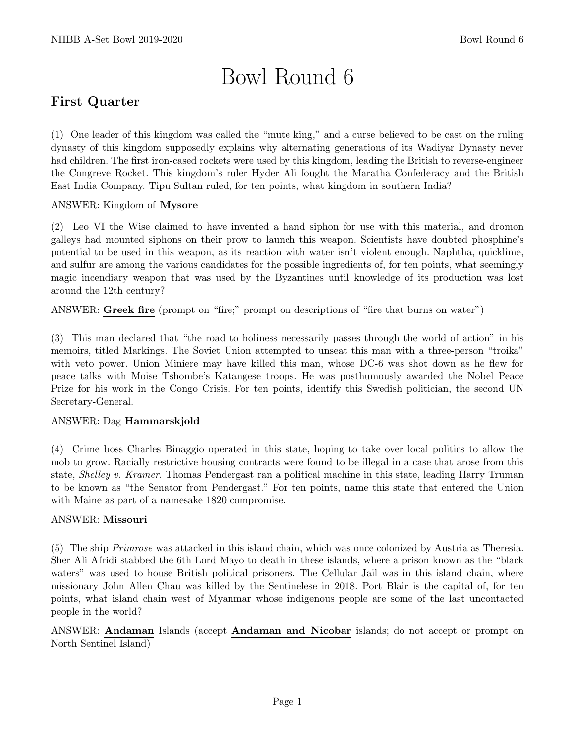# Bowl Round 6

# First Quarter

(1) One leader of this kingdom was called the "mute king," and a curse believed to be cast on the ruling dynasty of this kingdom supposedly explains why alternating generations of its Wadiyar Dynasty never had children. The first iron-cased rockets were used by this kingdom, leading the British to reverse-engineer the Congreve Rocket. This kingdom's ruler Hyder Ali fought the Maratha Confederacy and the British East India Company. Tipu Sultan ruled, for ten points, what kingdom in southern India?

# ANSWER: Kingdom of Mysore

(2) Leo VI the Wise claimed to have invented a hand siphon for use with this material, and dromon galleys had mounted siphons on their prow to launch this weapon. Scientists have doubted phosphine's potential to be used in this weapon, as its reaction with water isn't violent enough. Naphtha, quicklime, and sulfur are among the various candidates for the possible ingredients of, for ten points, what seemingly magic incendiary weapon that was used by the Byzantines until knowledge of its production was lost around the 12th century?

ANSWER: Greek fire (prompt on "fire;" prompt on descriptions of "fire that burns on water")

(3) This man declared that "the road to holiness necessarily passes through the world of action" in his memoirs, titled Markings. The Soviet Union attempted to unseat this man with a three-person "troika" with veto power. Union Miniere may have killed this man, whose DC-6 was shot down as he flew for peace talks with Moise Tshombe's Katangese troops. He was posthumously awarded the Nobel Peace Prize for his work in the Congo Crisis. For ten points, identify this Swedish politician, the second UN Secretary-General.

#### ANSWER: Dag Hammarskjold

(4) Crime boss Charles Binaggio operated in this state, hoping to take over local politics to allow the mob to grow. Racially restrictive housing contracts were found to be illegal in a case that arose from this state, Shelley v. Kramer. Thomas Pendergast ran a political machine in this state, leading Harry Truman to be known as "the Senator from Pendergast." For ten points, name this state that entered the Union with Maine as part of a namesake 1820 compromise.

#### ANSWER: Missouri

(5) The ship Primrose was attacked in this island chain, which was once colonized by Austria as Theresia. Sher Ali Afridi stabbed the 6th Lord Mayo to death in these islands, where a prison known as the "black waters" was used to house British political prisoners. The Cellular Jail was in this island chain, where missionary John Allen Chau was killed by the Sentinelese in 2018. Port Blair is the capital of, for ten points, what island chain west of Myanmar whose indigenous people are some of the last uncontacted people in the world?

ANSWER: Andaman Islands (accept Andaman and Nicobar islands; do not accept or prompt on North Sentinel Island)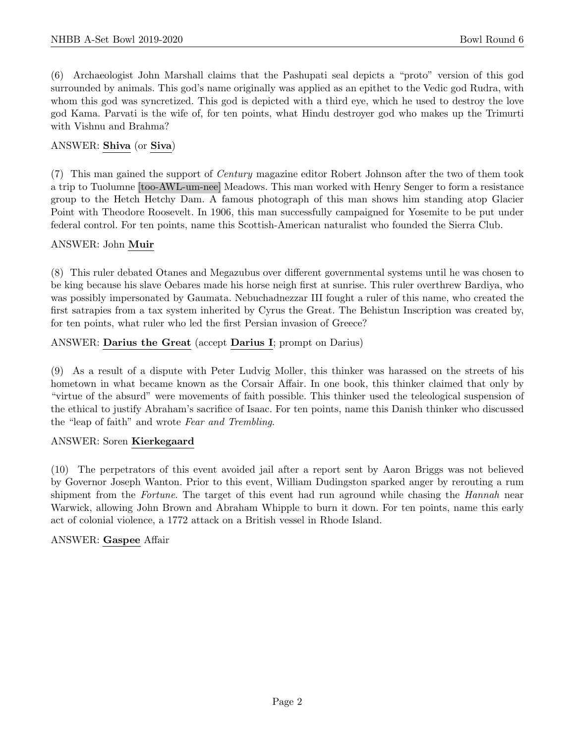(6) Archaeologist John Marshall claims that the Pashupati seal depicts a "proto" version of this god surrounded by animals. This god's name originally was applied as an epithet to the Vedic god Rudra, with whom this god was syncretized. This god is depicted with a third eye, which he used to destroy the love god Kama. Parvati is the wife of, for ten points, what Hindu destroyer god who makes up the Trimurti with Vishnu and Brahma?

# ANSWER: Shiva (or Siva)

(7) This man gained the support of Century magazine editor Robert Johnson after the two of them took a trip to Tuolumne [too-AWL-um-nee] Meadows. This man worked with Henry Senger to form a resistance group to the Hetch Hetchy Dam. A famous photograph of this man shows him standing atop Glacier Point with Theodore Roosevelt. In 1906, this man successfully campaigned for Yosemite to be put under federal control. For ten points, name this Scottish-American naturalist who founded the Sierra Club.

# ANSWER: John Muir

(8) This ruler debated Otanes and Megazubus over different governmental systems until he was chosen to be king because his slave Oebares made his horse neigh first at sunrise. This ruler overthrew Bardiya, who was possibly impersonated by Gaumata. Nebuchadnezzar III fought a ruler of this name, who created the first satrapies from a tax system inherited by Cyrus the Great. The Behistun Inscription was created by, for ten points, what ruler who led the first Persian invasion of Greece?

# ANSWER: Darius the Great (accept Darius I; prompt on Darius)

(9) As a result of a dispute with Peter Ludvig Moller, this thinker was harassed on the streets of his hometown in what became known as the Corsair Affair. In one book, this thinker claimed that only by "virtue of the absurd" were movements of faith possible. This thinker used the teleological suspension of the ethical to justify Abraham's sacrifice of Isaac. For ten points, name this Danish thinker who discussed the "leap of faith" and wrote Fear and Trembling.

#### ANSWER: Soren Kierkegaard

(10) The perpetrators of this event avoided jail after a report sent by Aaron Briggs was not believed by Governor Joseph Wanton. Prior to this event, William Dudingston sparked anger by rerouting a rum shipment from the Fortune. The target of this event had run aground while chasing the Hannah near Warwick, allowing John Brown and Abraham Whipple to burn it down. For ten points, name this early act of colonial violence, a 1772 attack on a British vessel in Rhode Island.

#### ANSWER: Gaspee Affair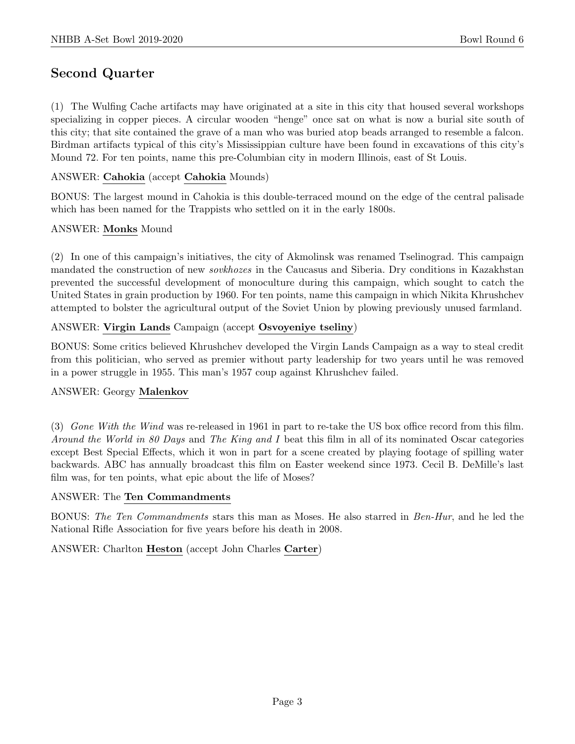# Second Quarter

(1) The Wulfing Cache artifacts may have originated at a site in this city that housed several workshops specializing in copper pieces. A circular wooden "henge" once sat on what is now a burial site south of this city; that site contained the grave of a man who was buried atop beads arranged to resemble a falcon. Birdman artifacts typical of this city's Mississippian culture have been found in excavations of this city's Mound 72. For ten points, name this pre-Columbian city in modern Illinois, east of St Louis.

# ANSWER: Cahokia (accept Cahokia Mounds)

BONUS: The largest mound in Cahokia is this double-terraced mound on the edge of the central palisade which has been named for the Trappists who settled on it in the early 1800s.

# ANSWER: Monks Mound

(2) In one of this campaign's initiatives, the city of Akmolinsk was renamed Tselinograd. This campaign mandated the construction of new sovkhozes in the Caucasus and Siberia. Dry conditions in Kazakhstan prevented the successful development of monoculture during this campaign, which sought to catch the United States in grain production by 1960. For ten points, name this campaign in which Nikita Khrushchev attempted to bolster the agricultural output of the Soviet Union by plowing previously unused farmland.

# ANSWER: Virgin Lands Campaign (accept Osvoyeniye tseliny)

BONUS: Some critics believed Khrushchev developed the Virgin Lands Campaign as a way to steal credit from this politician, who served as premier without party leadership for two years until he was removed in a power struggle in 1955. This man's 1957 coup against Khrushchev failed.

#### ANSWER: Georgy Malenkov

(3) Gone With the Wind was re-released in 1961 in part to re-take the US box office record from this film. Around the World in 80 Days and The King and I beat this film in all of its nominated Oscar categories except Best Special Effects, which it won in part for a scene created by playing footage of spilling water backwards. ABC has annually broadcast this film on Easter weekend since 1973. Cecil B. DeMille's last film was, for ten points, what epic about the life of Moses?

#### ANSWER: The Ten Commandments

BONUS: The Ten Commandments stars this man as Moses. He also starred in Ben-Hur, and he led the National Rifle Association for five years before his death in 2008.

ANSWER: Charlton Heston (accept John Charles Carter)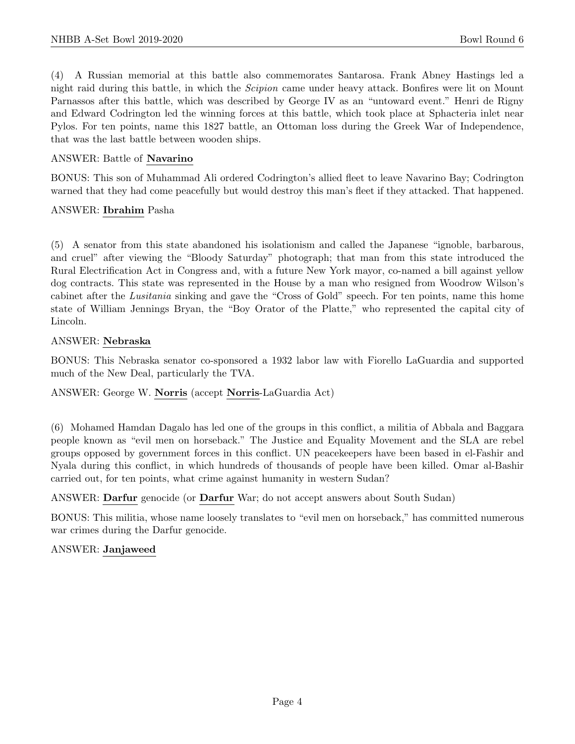(4) A Russian memorial at this battle also commemorates Santarosa. Frank Abney Hastings led a night raid during this battle, in which the Scipion came under heavy attack. Bonfires were lit on Mount Parnassos after this battle, which was described by George IV as an "untoward event." Henri de Rigny and Edward Codrington led the winning forces at this battle, which took place at Sphacteria inlet near Pylos. For ten points, name this 1827 battle, an Ottoman loss during the Greek War of Independence, that was the last battle between wooden ships.

#### ANSWER: Battle of Navarino

BONUS: This son of Muhammad Ali ordered Codrington's allied fleet to leave Navarino Bay; Codrington warned that they had come peacefully but would destroy this man's fleet if they attacked. That happened.

#### ANSWER: Ibrahim Pasha

(5) A senator from this state abandoned his isolationism and called the Japanese "ignoble, barbarous, and cruel" after viewing the "Bloody Saturday" photograph; that man from this state introduced the Rural Electrification Act in Congress and, with a future New York mayor, co-named a bill against yellow dog contracts. This state was represented in the House by a man who resigned from Woodrow Wilson's cabinet after the Lusitania sinking and gave the "Cross of Gold" speech. For ten points, name this home state of William Jennings Bryan, the "Boy Orator of the Platte," who represented the capital city of Lincoln.

#### ANSWER: Nebraska

BONUS: This Nebraska senator co-sponsored a 1932 labor law with Fiorello LaGuardia and supported much of the New Deal, particularly the TVA.

#### ANSWER: George W. Norris (accept Norris-LaGuardia Act)

(6) Mohamed Hamdan Dagalo has led one of the groups in this conflict, a militia of Abbala and Baggara people known as "evil men on horseback." The Justice and Equality Movement and the SLA are rebel groups opposed by government forces in this conflict. UN peacekeepers have been based in el-Fashir and Nyala during this conflict, in which hundreds of thousands of people have been killed. Omar al-Bashir carried out, for ten points, what crime against humanity in western Sudan?

#### ANSWER: Darfur genocide (or Darfur War; do not accept answers about South Sudan)

BONUS: This militia, whose name loosely translates to "evil men on horseback," has committed numerous war crimes during the Darfur genocide.

#### ANSWER: Janjaweed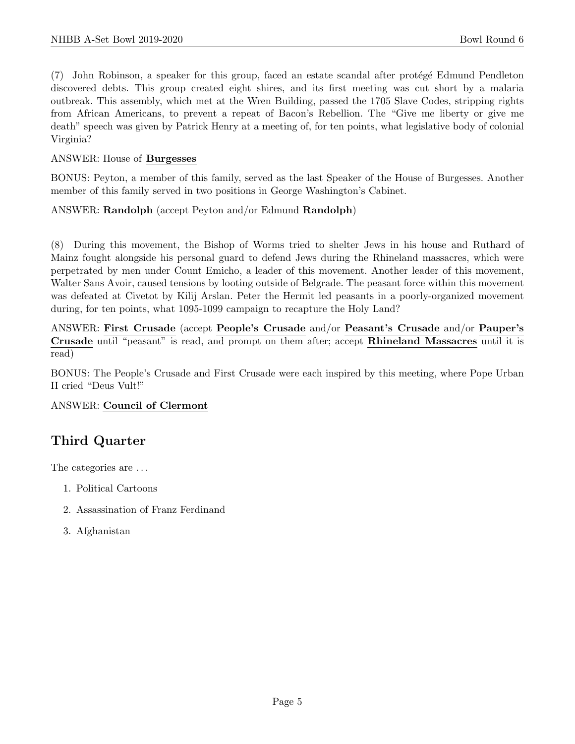(7) John Robinson, a speaker for this group, faced an estate scandal after protégé Edmund Pendleton discovered debts. This group created eight shires, and its first meeting was cut short by a malaria outbreak. This assembly, which met at the Wren Building, passed the 1705 Slave Codes, stripping rights from African Americans, to prevent a repeat of Bacon's Rebellion. The "Give me liberty or give me death" speech was given by Patrick Henry at a meeting of, for ten points, what legislative body of colonial Virginia?

#### ANSWER: House of Burgesses

BONUS: Peyton, a member of this family, served as the last Speaker of the House of Burgesses. Another member of this family served in two positions in George Washington's Cabinet.

# ANSWER: Randolph (accept Peyton and/or Edmund Randolph)

(8) During this movement, the Bishop of Worms tried to shelter Jews in his house and Ruthard of Mainz fought alongside his personal guard to defend Jews during the Rhineland massacres, which were perpetrated by men under Count Emicho, a leader of this movement. Another leader of this movement, Walter Sans Avoir, caused tensions by looting outside of Belgrade. The peasant force within this movement was defeated at Civetot by Kilij Arslan. Peter the Hermit led peasants in a poorly-organized movement during, for ten points, what 1095-1099 campaign to recapture the Holy Land?

ANSWER: First Crusade (accept People's Crusade and/or Peasant's Crusade and/or Pauper's Crusade until "peasant" is read, and prompt on them after; accept Rhineland Massacres until it is read)

BONUS: The People's Crusade and First Crusade were each inspired by this meeting, where Pope Urban II cried "Deus Vult!"

#### ANSWER: Council of Clermont

# Third Quarter

The categories are  $\dots$ 

- 1. Political Cartoons
- 2. Assassination of Franz Ferdinand
- 3. Afghanistan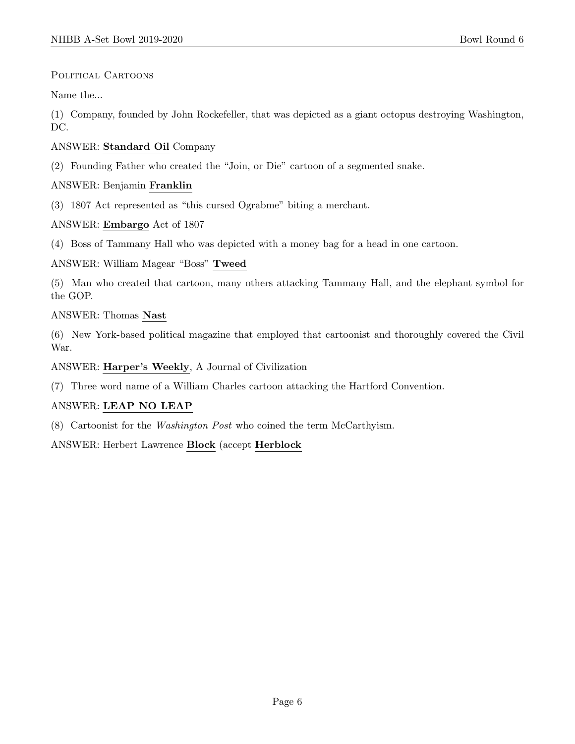# POLITICAL CARTOONS

Name the...

(1) Company, founded by John Rockefeller, that was depicted as a giant octopus destroying Washington, DC.

# ANSWER: Standard Oil Company

(2) Founding Father who created the "Join, or Die" cartoon of a segmented snake.

# ANSWER: Benjamin Franklin

(3) 1807 Act represented as "this cursed Ograbme" biting a merchant.

# ANSWER: Embargo Act of 1807

(4) Boss of Tammany Hall who was depicted with a money bag for a head in one cartoon.

# ANSWER: William Magear "Boss" Tweed

(5) Man who created that cartoon, many others attacking Tammany Hall, and the elephant symbol for the GOP.

# ANSWER: Thomas Nast

(6) New York-based political magazine that employed that cartoonist and thoroughly covered the Civil War.

#### ANSWER: Harper's Weekly, A Journal of Civilization

(7) Three word name of a William Charles cartoon attacking the Hartford Convention.

# ANSWER: LEAP NO LEAP

(8) Cartoonist for the Washington Post who coined the term McCarthyism.

ANSWER: Herbert Lawrence Block (accept Herblock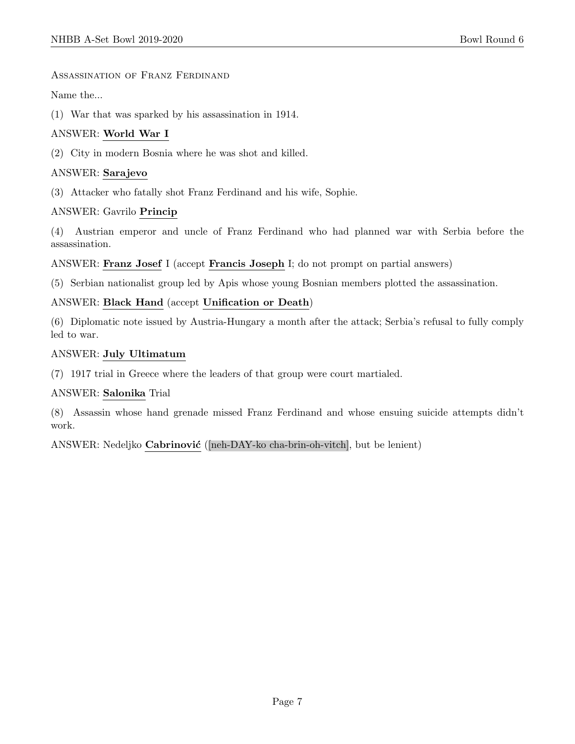#### Assassination of Franz Ferdinand

Name the...

(1) War that was sparked by his assassination in 1914.

#### ANSWER: World War I

(2) City in modern Bosnia where he was shot and killed.

#### ANSWER: Sarajevo

(3) Attacker who fatally shot Franz Ferdinand and his wife, Sophie.

#### ANSWER: Gavrilo Princip

(4) Austrian emperor and uncle of Franz Ferdinand who had planned war with Serbia before the assassination.

ANSWER: Franz Josef I (accept Francis Joseph I; do not prompt on partial answers)

(5) Serbian nationalist group led by Apis whose young Bosnian members plotted the assassination.

#### ANSWER: Black Hand (accept Unification or Death)

(6) Diplomatic note issued by Austria-Hungary a month after the attack; Serbia's refusal to fully comply led to war.

#### ANSWER: July Ultimatum

(7) 1917 trial in Greece where the leaders of that group were court martialed.

#### ANSWER: Salonika Trial

(8) Assassin whose hand grenade missed Franz Ferdinand and whose ensuing suicide attempts didn't work.

ANSWER: Nedeljko Cabrinović ([neh-DAY-ko cha-brin-oh-vitch], but be lenient)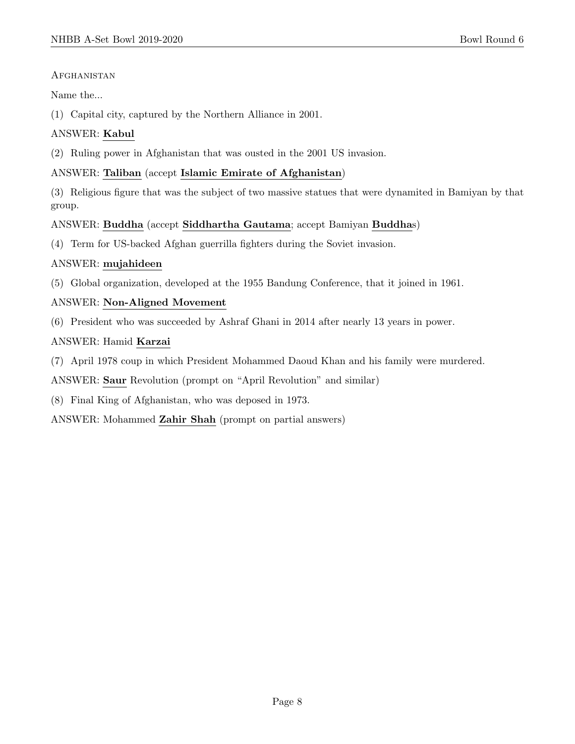# **AFGHANISTAN**

Name the...

(1) Capital city, captured by the Northern Alliance in 2001.

# ANSWER: Kabul

(2) Ruling power in Afghanistan that was ousted in the 2001 US invasion.

# ANSWER: Taliban (accept Islamic Emirate of Afghanistan)

(3) Religious figure that was the subject of two massive statues that were dynamited in Bamiyan by that group.

# ANSWER: Buddha (accept Siddhartha Gautama; accept Bamiyan Buddhas)

(4) Term for US-backed Afghan guerrilla fighters during the Soviet invasion.

# ANSWER: mujahideen

(5) Global organization, developed at the 1955 Bandung Conference, that it joined in 1961.

# ANSWER: Non-Aligned Movement

(6) President who was succeeded by Ashraf Ghani in 2014 after nearly 13 years in power.

# ANSWER: Hamid Karzai

(7) April 1978 coup in which President Mohammed Daoud Khan and his family were murdered.

ANSWER: Saur Revolution (prompt on "April Revolution" and similar)

(8) Final King of Afghanistan, who was deposed in 1973.

ANSWER: Mohammed Zahir Shah (prompt on partial answers)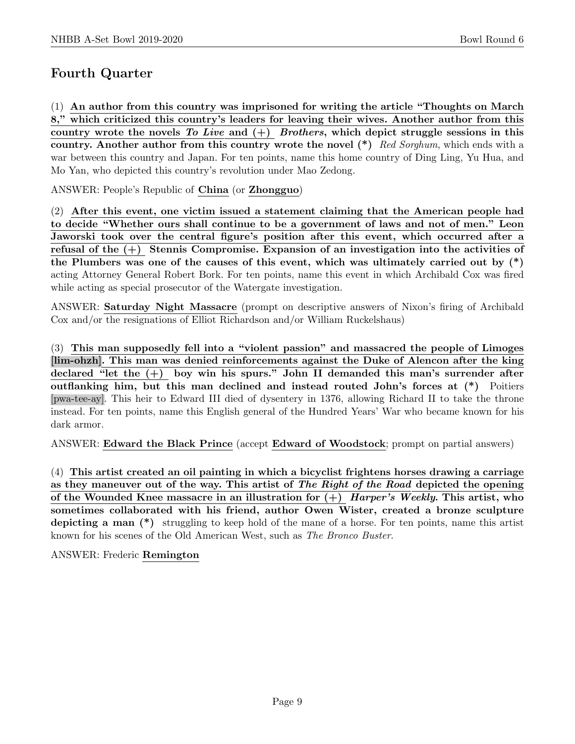# Fourth Quarter

(1) An author from this country was imprisoned for writing the article "Thoughts on March 8," which criticized this country's leaders for leaving their wives. Another author from this country wrote the novels To Live and  $(+)$  Brothers, which depict struggle sessions in this country. Another author from this country wrote the novel  $(*)$  Red Sorghum, which ends with a war between this country and Japan. For ten points, name this home country of Ding Ling, Yu Hua, and Mo Yan, who depicted this country's revolution under Mao Zedong.

ANSWER: People's Republic of China (or Zhongguo)

(2) After this event, one victim issued a statement claiming that the American people had to decide "Whether ours shall continue to be a government of laws and not of men." Leon Jaworski took over the central figure's position after this event, which occurred after a refusal of the (+) Stennis Compromise. Expansion of an investigation into the activities of the Plumbers was one of the causes of this event, which was ultimately carried out by (\*) acting Attorney General Robert Bork. For ten points, name this event in which Archibald Cox was fired while acting as special prosecutor of the Watergate investigation.

ANSWER: Saturday Night Massacre (prompt on descriptive answers of Nixon's firing of Archibald Cox and/or the resignations of Elliot Richardson and/or William Ruckelshaus)

(3) This man supposedly fell into a "violent passion" and massacred the people of Limoges [lim-ohzh]. This man was denied reinforcements against the Duke of Alencon after the king declared "let the  $(+)$  boy win his spurs." John II demanded this man's surrender after outflanking him, but this man declined and instead routed John's forces at (\*) Poitiers [pwa-tee-ay]. This heir to Edward III died of dysentery in 1376, allowing Richard II to take the throne instead. For ten points, name this English general of the Hundred Years' War who became known for his dark armor.

ANSWER: Edward the Black Prince (accept Edward of Woodstock; prompt on partial answers)

(4) This artist created an oil painting in which a bicyclist frightens horses drawing a carriage as they maneuver out of the way. This artist of The Right of the Road depicted the opening of the Wounded Knee massacre in an illustration for  $(+)$  Harper's Weekly. This artist, who sometimes collaborated with his friend, author Owen Wister, created a bronze sculpture depicting a man (\*) struggling to keep hold of the mane of a horse. For ten points, name this artist known for his scenes of the Old American West, such as The Bronco Buster.

ANSWER: Frederic Remington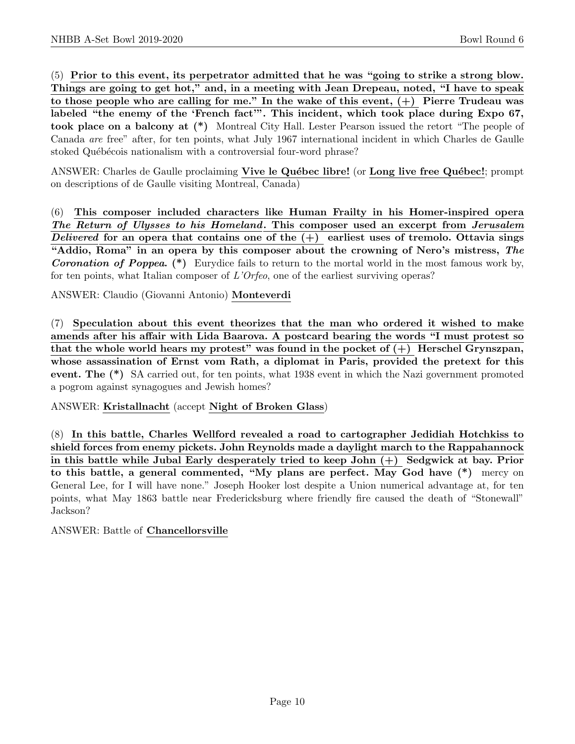(5) Prior to this event, its perpetrator admitted that he was "going to strike a strong blow. Things are going to get hot," and, in a meeting with Jean Drepeau, noted, "I have to speak to those people who are calling for me." In the wake of this event,  $(+)$  Pierre Trudeau was labeled "the enemy of the 'French fact'". This incident, which took place during Expo 67, took place on a balcony at (\*) Montreal City Hall. Lester Pearson issued the retort "The people of Canada are free" after, for ten points, what July 1967 international incident in which Charles de Gaulle stoked Québécois nationalism with a controversial four-word phrase?

ANSWER: Charles de Gaulle proclaiming Vive le Québec libre! (or Long live free Québec!; prompt on descriptions of de Gaulle visiting Montreal, Canada)

(6) This composer included characters like Human Frailty in his Homer-inspired opera The Return of Ulysses to his Homeland. This composer used an excerpt from Jerusalem Delivered for an opera that contains one of the  $(+)$  earliest uses of tremolo. Ottavia sings "Addio, Roma" in an opera by this composer about the crowning of Nero's mistress, The Coronation of Poppea. (\*) Eurydice fails to return to the mortal world in the most famous work by, for ten points, what Italian composer of L'Orfeo, one of the earliest surviving operas?

ANSWER: Claudio (Giovanni Antonio) Monteverdi

(7) Speculation about this event theorizes that the man who ordered it wished to make amends after his affair with Lida Baarova. A postcard bearing the words "I must protest so that the whole world hears my protest" was found in the pocket of  $(+)$  Herschel Grynszpan, whose assassination of Ernst vom Rath, a diplomat in Paris, provided the pretext for this event. The (\*) SA carried out, for ten points, what 1938 event in which the Nazi government promoted a pogrom against synagogues and Jewish homes?

ANSWER: Kristallnacht (accept Night of Broken Glass)

(8) In this battle, Charles Wellford revealed a road to cartographer Jedidiah Hotchkiss to shield forces from enemy pickets. John Reynolds made a daylight march to the Rappahannock in this battle while Jubal Early desperately tried to keep John  $(+)$  Sedgwick at bay. Prior to this battle, a general commented, "My plans are perfect. May God have (\*) mercy on General Lee, for I will have none." Joseph Hooker lost despite a Union numerical advantage at, for ten points, what May 1863 battle near Fredericksburg where friendly fire caused the death of "Stonewall" Jackson?

ANSWER: Battle of Chancellorsville